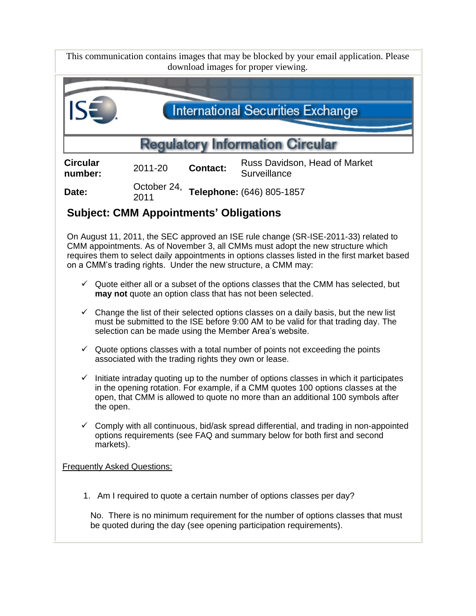| This communication contains images that may be blocked by your email application. Please<br>download images for proper viewing.                                                                                                                                                                                                            |                                                                                                                                                                                 |                 |                                                                        |  |  |  |
|--------------------------------------------------------------------------------------------------------------------------------------------------------------------------------------------------------------------------------------------------------------------------------------------------------------------------------------------|---------------------------------------------------------------------------------------------------------------------------------------------------------------------------------|-----------------|------------------------------------------------------------------------|--|--|--|
|                                                                                                                                                                                                                                                                                                                                            |                                                                                                                                                                                 |                 |                                                                        |  |  |  |
| <b>International Securities Exchange</b>                                                                                                                                                                                                                                                                                                   |                                                                                                                                                                                 |                 |                                                                        |  |  |  |
| <b>Regulatory Information Circular</b>                                                                                                                                                                                                                                                                                                     |                                                                                                                                                                                 |                 |                                                                        |  |  |  |
| <b>Circular</b><br>number:                                                                                                                                                                                                                                                                                                                 | 2011-20                                                                                                                                                                         | <b>Contact:</b> | Russ Davidson, Head of Market<br>Surveillance                          |  |  |  |
| Date:                                                                                                                                                                                                                                                                                                                                      | 2011                                                                                                                                                                            |                 | October 24, Telephone: (646) 805-1857                                  |  |  |  |
|                                                                                                                                                                                                                                                                                                                                            | <b>Subject: CMM Appointments' Obligations</b>                                                                                                                                   |                 |                                                                        |  |  |  |
| On August 11, 2011, the SEC approved an ISE rule change (SR-ISE-2011-33) related to<br>CMM appointments. As of November 3, all CMMs must adopt the new structure which<br>requires them to select daily appointments in options classes listed in the first market based<br>on a CMM's trading rights. Under the new structure, a CMM may: |                                                                                                                                                                                 |                 |                                                                        |  |  |  |
| $\checkmark$ Quote either all or a subset of the options classes that the CMM has selected, but<br>may not quote an option class that has not been selected.                                                                                                                                                                               |                                                                                                                                                                                 |                 |                                                                        |  |  |  |
| Change the list of their selected options classes on a daily basis, but the new list<br>$\checkmark$<br>must be submitted to the ISE before 9:00 AM to be valid for that trading day. The<br>selection can be made using the Member Area's website.                                                                                        |                                                                                                                                                                                 |                 |                                                                        |  |  |  |
| Quote options classes with a total number of points not exceeding the points<br>$\checkmark$<br>associated with the trading rights they own or lease.                                                                                                                                                                                      |                                                                                                                                                                                 |                 |                                                                        |  |  |  |
| Initiate intraday quoting up to the number of options classes in which it participates<br>$\checkmark$<br>in the opening rotation. For example, if a CMM quotes 100 options classes at the<br>open, that CMM is allowed to quote no more than an additional 100 symbols after<br>the open.                                                 |                                                                                                                                                                                 |                 |                                                                        |  |  |  |
| ✓                                                                                                                                                                                                                                                                                                                                          | Comply with all continuous, bid/ask spread differential, and trading in non-appointed<br>options requirements (see FAQ and summary below for both first and second<br>markets). |                 |                                                                        |  |  |  |
| <b>Frequently Asked Questions:</b>                                                                                                                                                                                                                                                                                                         |                                                                                                                                                                                 |                 |                                                                        |  |  |  |
|                                                                                                                                                                                                                                                                                                                                            |                                                                                                                                                                                 |                 | 1. Am I required to quote a certain number of options classes per day? |  |  |  |
| No. There is no minimum requirement for the number of options classes that must<br>be quoted during the day (see opening participation requirements).                                                                                                                                                                                      |                                                                                                                                                                                 |                 |                                                                        |  |  |  |
|                                                                                                                                                                                                                                                                                                                                            |                                                                                                                                                                                 |                 |                                                                        |  |  |  |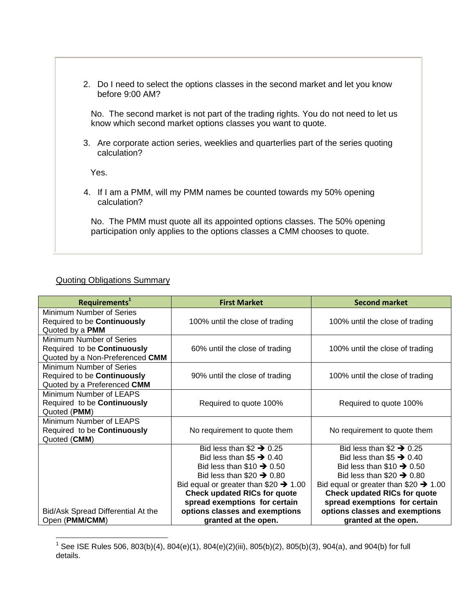2. Do I need to select the options classes in the second market and let you know before 9:00 AM?

No. The second market is not part of the trading rights. You do not need to let us know which second market options classes you want to quote.

3. Are corporate action series, weeklies and quarterlies part of the series quoting calculation?

Yes.

4. If I am a PMM, will my PMM names be counted towards my 50% opening calculation?

No. The PMM must quote all its appointed options classes. The 50% opening participation only applies to the options classes a CMM chooses to quote.

## Quoting Obligations Summary

| Requirements <sup>1</sup>          | <b>First Market</b>                              | <b>Second market</b>                             |
|------------------------------------|--------------------------------------------------|--------------------------------------------------|
| Minimum Number of Series           |                                                  |                                                  |
| Required to be Continuously        | 100% until the close of trading                  | 100% until the close of trading                  |
| Quoted by a PMM                    |                                                  |                                                  |
| Minimum Number of Series           |                                                  |                                                  |
| Required to be Continuously        | 60% until the close of trading                   | 100% until the close of trading                  |
| Quoted by a Non-Preferenced CMM    |                                                  |                                                  |
| Minimum Number of Series           |                                                  |                                                  |
| Required to be Continuously        | 90% until the close of trading                   | 100% until the close of trading                  |
| Quoted by a Preferenced CMM        |                                                  |                                                  |
| Minimum Number of LEAPS            |                                                  |                                                  |
| Required to be Continuously        | Required to quote 100%                           | Required to quote 100%                           |
| Quoted (PMM)                       |                                                  |                                                  |
| Minimum Number of LEAPS            |                                                  |                                                  |
| Required to be Continuously        | No requirement to quote them                     | No requirement to quote them                     |
| Quoted (CMM)                       |                                                  |                                                  |
|                                    | Bid less than $$2 \rightarrow 0.25$              | Bid less than $$2 \rightarrow 0.25$              |
|                                    | Bid less than $$5 \rightarrow 0.40$              | Bid less than $$5 \rightarrow 0.40$              |
|                                    | Bid less than $$10 \rightarrow 0.50$             | Bid less than $$10 \rightarrow 0.50$             |
|                                    | Bid less than $$20 \rightarrow 0.80$             | Bid less than $$20 \rightarrow 0.80$             |
|                                    | Bid equal or greater than $$20 \rightarrow 1.00$ | Bid equal or greater than $$20 \rightarrow 1.00$ |
|                                    | <b>Check updated RICs for quote</b>              | <b>Check updated RICs for quote</b>              |
|                                    | spread exemptions for certain                    | spread exemptions for certain                    |
| Bid/Ask Spread Differential At the | options classes and exemptions                   | options classes and exemptions                   |
| Open (PMM/CMM)                     | granted at the open.                             | granted at the open.                             |

 1 See ISE Rules 506, 803(b)(4), 804(e)(1), 804(e)(2)(iii), 805(b)(2), 805(b)(3), 904(a), and 904(b) for full details.